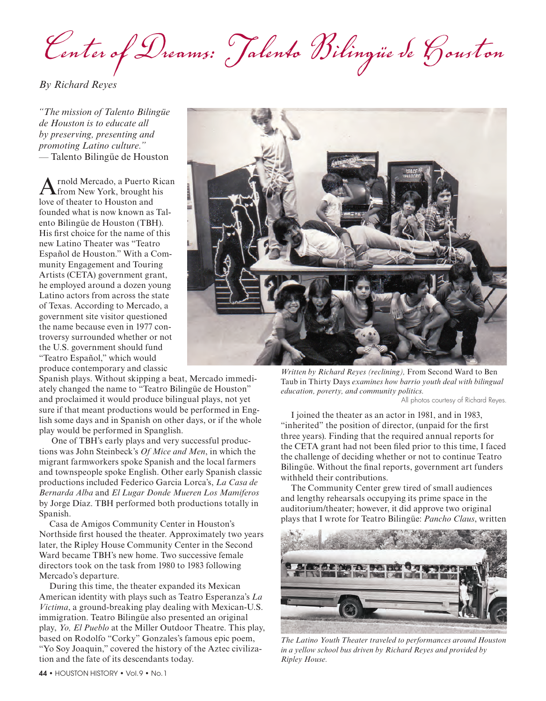*Center of Dreams: Talento Bilingüe de Houston*

*By Richard Reyes*

*"The mission of Talento Bilingüe de Houston is to educate all by preserving, presenting and promoting Latino culture."*  — Talento Bilingüe de Houston

rnold Mercado, a Puerto Rican from New York, brought his love of theater to Houston and founded what is now known as Talento Bilingüe de Houston (TBH). His first choice for the name of this new Latino Theater was "Teatro Español de Houston." With a Community Engagement and Touring Artists (CETA) government grant, he employed around a dozen young Latino actors from across the state of Texas. According to Mercado, a government site visitor questioned the name because even in 1977 controversy surrounded whether or not the U.S. government should fund "Teatro Español," which would produce contemporary and classic

Spanish plays. Without skipping a beat, Mercado immediately changed the name to "Teatro Bilingüe de Houston" and proclaimed it would produce bilingual plays, not yet sure if that meant productions would be performed in English some days and in Spanish on other days, or if the whole play would be performed in Spanglish.

 One of TBH's early plays and very successful productions was John Steinbeck's *Of Mice and Men*, in which the migrant farmworkers spoke Spanish and the local farmers and townspeople spoke English. Other early Spanish classic productions included Federico Garcia Lorca's, *La Casa de Bernarda Alba* and *El Lugar Donde Mueren Los Mamiferos* by Jorge Díaz. TBH performed both productions totally in Spanish.

Casa de Amigos Community Center in Houston's Northside first housed the theater. Approximately two years later, the Ripley House Community Center in the Second Ward became TBH's new home. Two successive female directors took on the task from 1980 to 1983 following Mercado's departure.

During this time, the theater expanded its Mexican American identity with plays such as Teatro Esperanza's *La Victima*, a ground-breaking play dealing with Mexican-U.S. immigration. Teatro Bilingüe also presented an original play, *Yo, El Pueblo* at the Miller Outdoor Theatre. This play, based on Rodolfo "Corky" Gonzales's famous epic poem, "Yo Soy Joaquin," covered the history of the Aztec civilization and the fate of its descendants today.



*Written by Richard Reyes (reclining),* From Second Ward to Ben Taub in Thirty Days *examines how barrio youth deal with bilingual education, poverty, and community politics.*

All photos courtesy of Richard Reyes.

I joined the theater as an actor in 1981, and in 1983, "inherited" the position of director, (unpaid for the first three years). Finding that the required annual reports for the CETA grant had not been filed prior to this time, I faced the challenge of deciding whether or not to continue Teatro Bilingüe. Without the final reports, government art funders withheld their contributions.

The Community Center grew tired of small audiences and lengthy rehearsals occupying its prime space in the auditorium/theater; however, it did approve two original plays that I wrote for Teatro Bilingüe: *Pancho Claus*, written



*The Latino Youth Theater traveled to performances around Houston in a yellow school bus driven by Richard Reyes and provided by Ripley House.*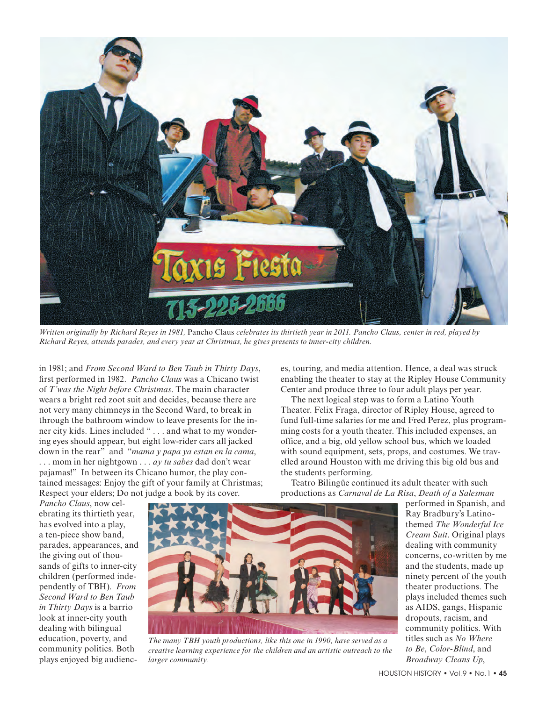

*Written originally by Richard Reyes in 1981,* Pancho Claus *celebrates its thirtieth year in 2011. Pancho Claus, center in red, played by Richard Reyes, attends parades, and every year at Christmas, he gives presents to inner-city children.* 

in 1981; and *From Second Ward to Ben Taub in Thirty Days*, first performed in 1982. *Pancho Claus* was a Chicano twist of *T'was the Night before Christmas*. The main character wears a bright red zoot suit and decides, because there are not very many chimneys in the Second Ward, to break in through the bathroom window to leave presents for the inner city kids. Lines included " . . . and what to my wondering eyes should appear, but eight low-rider cars all jacked down in the rear" and "*mama y papa ya estan en la cama*, . . . mom in her nightgown . . . *ay tu sabes* dad don't wear pajamas!" In between its Chicano humor, the play contained messages: Enjoy the gift of your family at Christmas; Respect your elders; Do not judge a book by its cover.

es, touring, and media attention. Hence, a deal was struck enabling the theater to stay at the Ripley House Community Center and produce three to four adult plays per year.

The next logical step was to form a Latino Youth Theater. Felix Fraga, director of Ripley House, agreed to fund full-time salaries for me and Fred Perez, plus programming costs for a youth theater. This included expenses, an office, and a big, old yellow school bus, which we loaded with sound equipment, sets, props, and costumes. We travelled around Houston with me driving this big old bus and the students performing.

Teatro Bilingüe continued its adult theater with such productions as *Carnaval de La Risa*, *Death of a Salesman*

*Pancho Claus*, now celebrating its thirtieth year, has evolved into a play, a ten-piece show band, parades, appearances, and the giving out of thousands of gifts to inner-city children (performed independently of TBH). *From Second Ward to Ben Taub in Thirty Days* is a barrio look at inner-city youth dealing with bilingual education, poverty, and community politics. Both plays enjoyed big audienc-



*The many TBH youth productions, like this one in 1990, have served as a creative learning experience for the children and an artistic outreach to the larger community.*

performed in Spanish, and Ray Bradbury's Latinothemed *The Wonderful Ice Cream Suit*. Original plays dealing with community concerns, co-written by me and the students, made up ninety percent of the youth theater productions. The plays included themes such as AIDS, gangs, Hispanic dropouts, racism, and community politics. With titles such as *No Where to Be*, *Color-Blind*, and *Broadway Cleans Up*,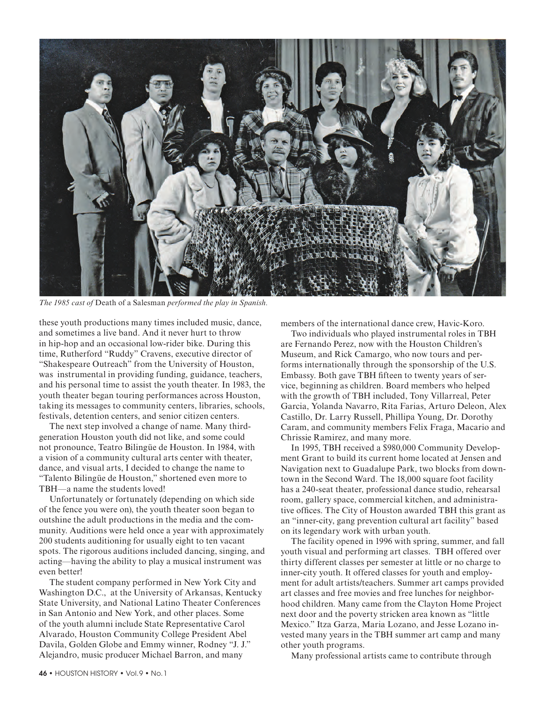

*The 1985 cast of* Death of a Salesman *performed the play in Spanish.*

these youth productions many times included music, dance, and sometimes a live band. And it never hurt to throw in hip-hop and an occasional low-rider bike. During this time, Rutherford "Ruddy" Cravens, executive director of "Shakespeare Outreach" from the University of Houston, was instrumental in providing funding, guidance, teachers, and his personal time to assist the youth theater. In 1983, the youth theater began touring performances across Houston, taking its messages to community centers, libraries, schools, festivals, detention centers, and senior citizen centers.

The next step involved a change of name. Many thirdgeneration Houston youth did not like, and some could not pronounce, Teatro Bilingüe de Houston. In 1984, with a vision of a community cultural arts center with theater, dance, and visual arts, I decided to change the name to "Talento Bilingüe de Houston," shortened even more to TBH—a name the students loved!

Unfortunately or fortunately (depending on which side of the fence you were on), the youth theater soon began to outshine the adult productions in the media and the community. Auditions were held once a year with approximately 200 students auditioning for usually eight to ten vacant spots. The rigorous auditions included dancing, singing, and acting—having the ability to play a musical instrument was even better!

The student company performed in New York City and Washington D.C., at the University of Arkansas, Kentucky State University, and National Latino Theater Conferences in San Antonio and New York, and other places. Some of the youth alumni include State Representative Carol Alvarado, Houston Community College President Abel Davila, Golden Globe and Emmy winner, Rodney "J. J." Alejandro, music producer Michael Barron, and many

members of the international dance crew, Havic-Koro.

Two individuals who played instrumental roles in TBH are Fernando Perez, now with the Houston Children's Museum, and Rick Camargo, who now tours and performs internationally through the sponsorship of the U.S. Embassy. Both gave TBH fifteen to twenty years of service, beginning as children. Board members who helped with the growth of TBH included, Tony Villarreal, Peter Garcia, Yolanda Navarro, Rita Farias, Arturo Deleon, Alex Castillo, Dr. Larry Russell, Phillipa Young, Dr. Dorothy Caram, and community members Felix Fraga, Macario and Chrissie Ramirez, and many more.

In 1995, TBH received a \$980,000 Community Development Grant to build its current home located at Jensen and Navigation next to Guadalupe Park, two blocks from downtown in the Second Ward. The 18,000 square foot facility has a 240-seat theater, professional dance studio, rehearsal room, gallery space, commercial kitchen, and administrative offices. The City of Houston awarded TBH this grant as an "inner-city, gang prevention cultural art facility" based on its legendary work with urban youth.

The facility opened in 1996 with spring, summer, and fall youth visual and performing art classes. TBH offered over thirty different classes per semester at little or no charge to inner-city youth. It offered classes for youth and employment for adult artists/teachers. Summer art camps provided art classes and free movies and free lunches for neighborhood children. Many came from the Clayton Home Project next door and the poverty stricken area known as "little Mexico." Itza Garza, Maria Lozano, and Jesse Lozano invested many years in the TBH summer art camp and many other youth programs.

Many professional artists came to contribute through